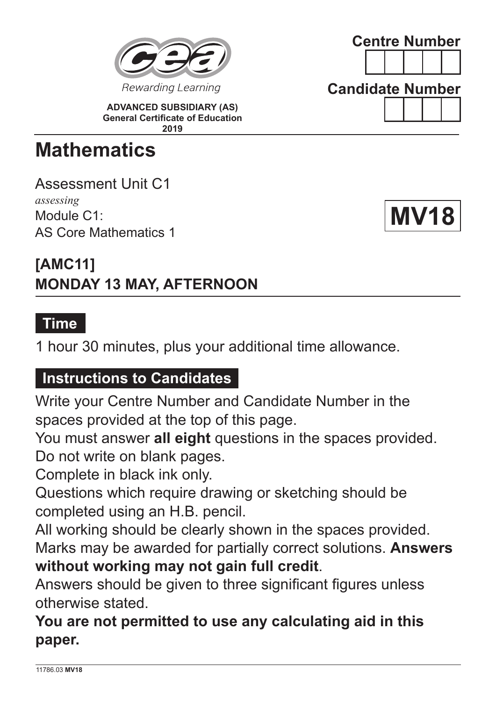**ADVANCED SUBSIDIARY (AS) General Certificate of Education 2019**

# **Mathematics**

Assessment Unit C1 *assessing* Module C<sub>1</sub>. AS Core Mathematics 1

## **[AMC11] MONDAY 13 MAY, AFTERNOON**

### **Time**

1 hour 30 minutes, plus your additional time allowance.

### **Instructions to Candidates**

Write your Centre Number and Candidate Number in the spaces provided at the top of this page.

You must answer **all eight** questions in the spaces provided. Do not write on blank pages.

Complete in black ink only.

Questions which require drawing or sketching should be completed using an H.B. pencil.

All working should be clearly shown in the spaces provided. Marks may be awarded for partially correct solutions. **Answers without working may not gain full credit**.

Answers should be given to three significant figures unless otherwise stated.

**You are not permitted to use any calculating aid in this paper.**

**Centre Number**

**Candidate Number**



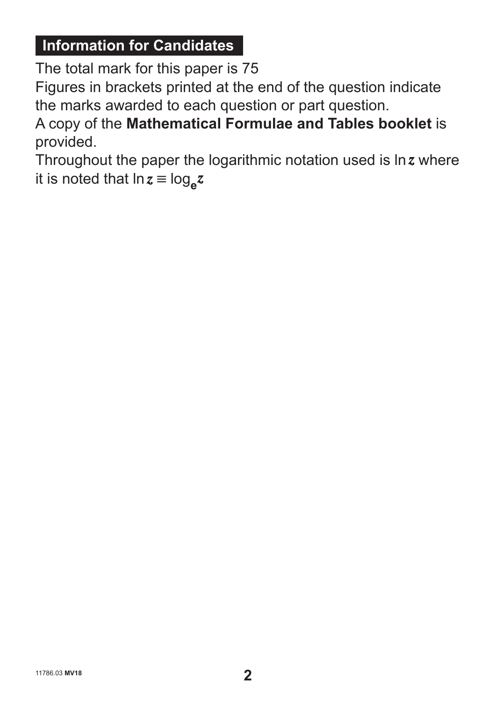### **Information for Candidates**

The total mark for this paper is 75

Figures in brackets printed at the end of the question indicate the marks awarded to each question or part question.

A copy of the **Mathematical Formulae and Tables booklet** is provided.

Throughout the paper the logarithmic notation used is  $\ln z$  where it is noted that  $\ln z \equiv \log_a z$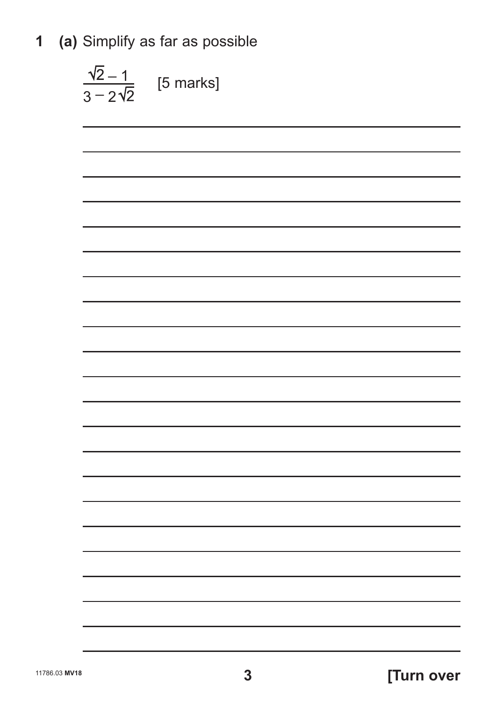(a) Simplify as far as possible  $\overline{\mathbf{1}}$ 

| $\frac{\sqrt{2}-1}{3-2\sqrt{2}}$ [5 marks] |
|--------------------------------------------|
|                                            |
|                                            |
|                                            |
|                                            |
|                                            |
|                                            |
|                                            |
|                                            |
|                                            |
|                                            |
|                                            |
|                                            |
|                                            |
|                                            |
|                                            |
|                                            |
|                                            |
|                                            |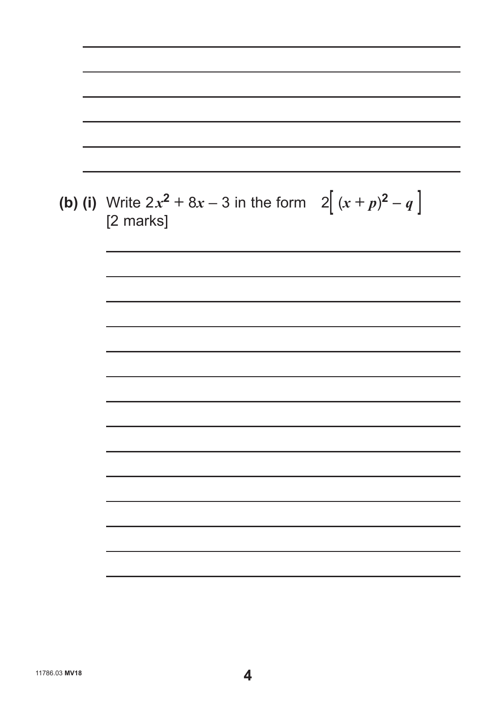| <b>(b) (i)</b> Write $2x^2 + 8x - 3$ in the form $2[(x+p)^2 - q]$<br>[2 marks] |
|--------------------------------------------------------------------------------|
|                                                                                |
|                                                                                |
|                                                                                |
|                                                                                |
|                                                                                |
|                                                                                |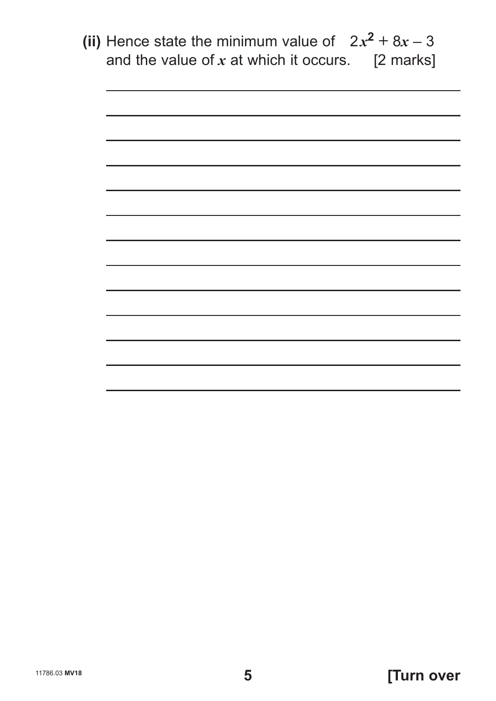**(ii)** Hence state the minimum value of  $2x^2 + 8x - 3$ and the value of  $x$  at which it occurs.  $[2 \text{ marks}]$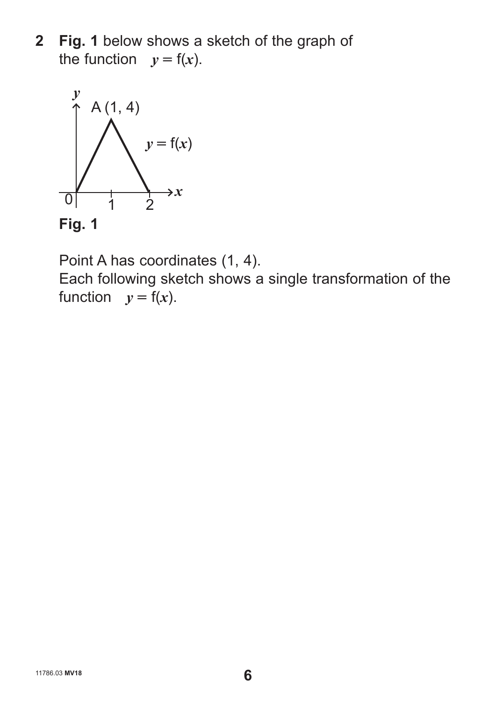**2 Fig. 1** below shows a sketch of the graph of the function  $y = f(x)$ .



Point A has coordinates (1, 4).

 Each following sketch shows a single transformation of the function  $y = f(x)$ .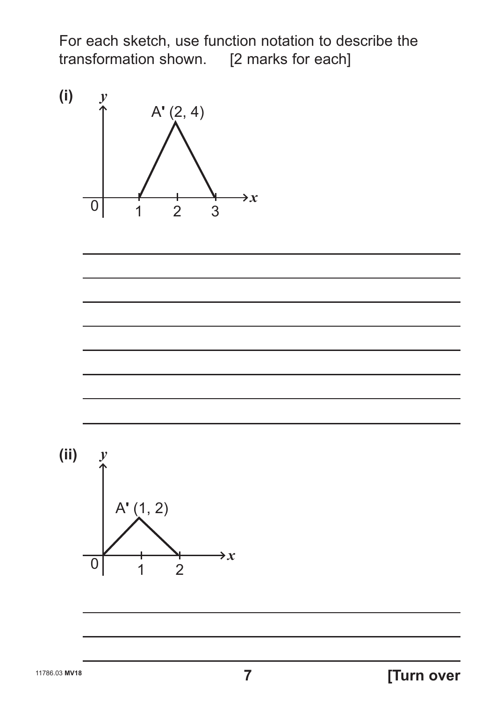For each sketch, use function notation to describe the transformation shown. [2 marks for each]



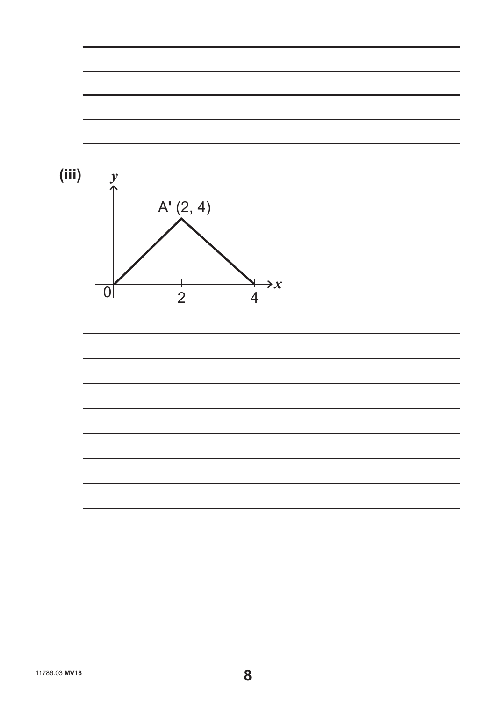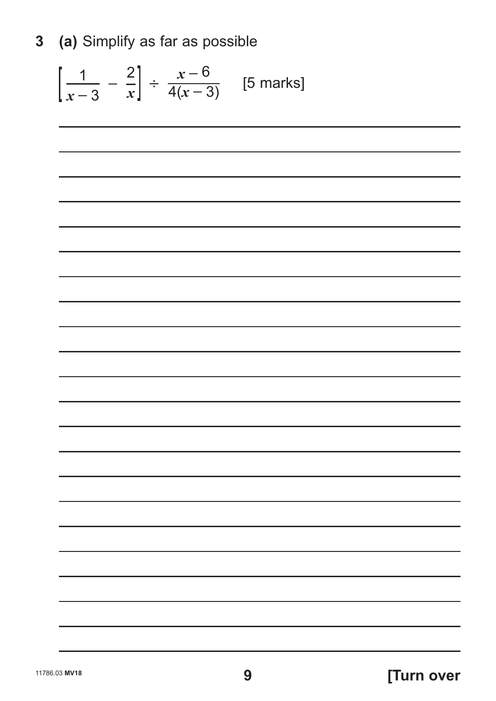**3 (a)** Simplify as far as possible

$$
\left[\frac{1}{x-3}-\frac{2}{x}\right]+\frac{x-6}{4(x-3)}
$$
 [5 marks]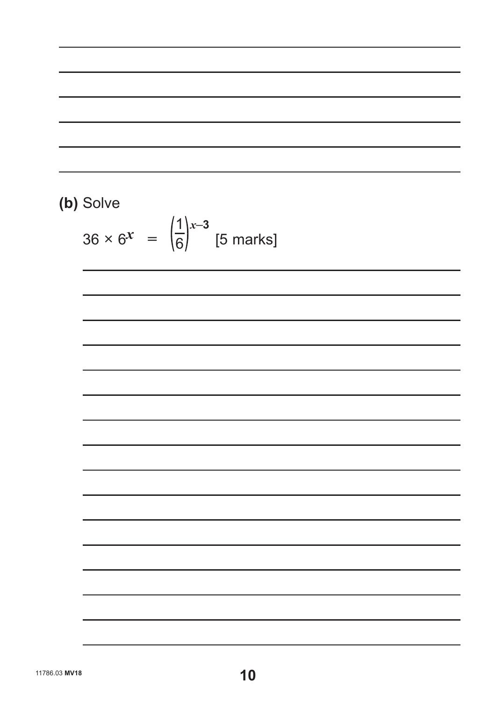# (b) Solve  $36 \times 6^x = \left(\frac{1}{6}\right)^{x-3}$  [5 marks]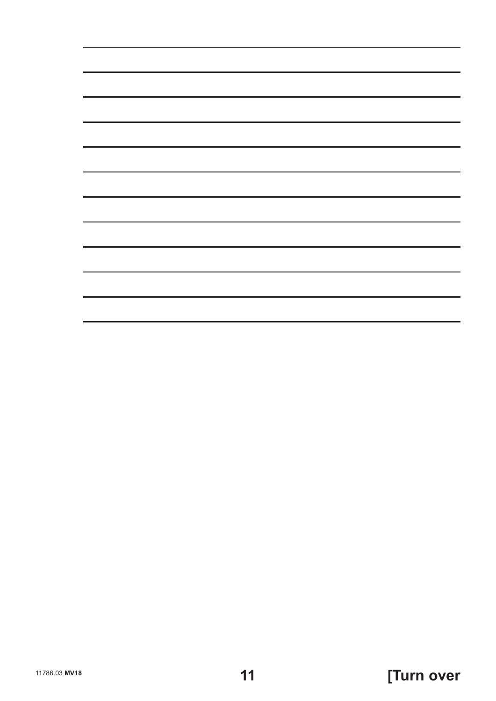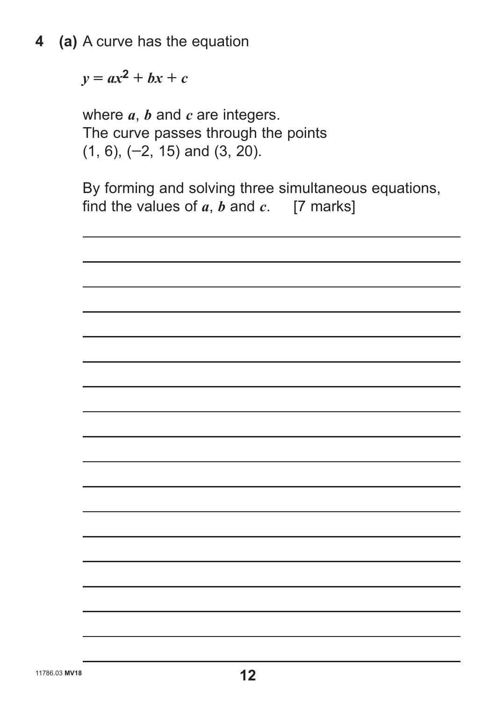$y = ax^2 + bx + c$ 

 where *a*, *b* and *c* are integers. The curve passes through the points (1, 6), (**−**2, 15) and (3, 20).

By forming and solving three simultaneous equations, find the values of  $a, b$  and  $c.$  [7 marks]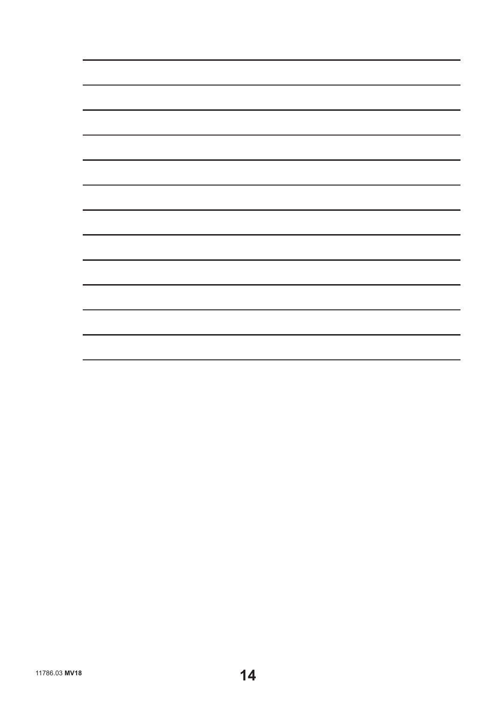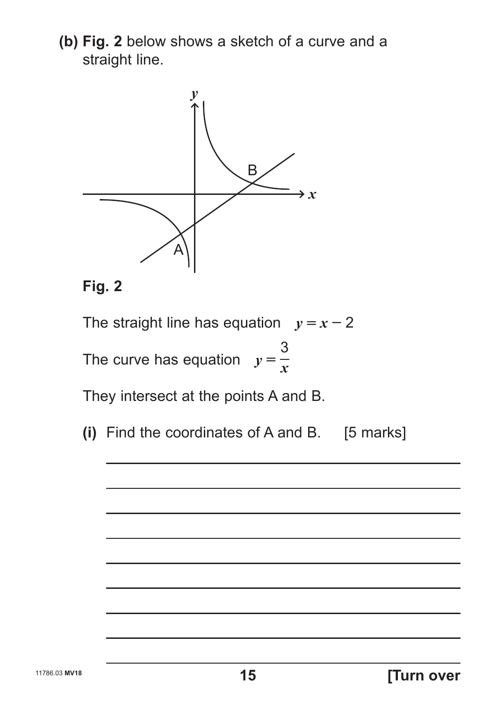**(b) Fig. 2** below shows a sketch of a curve and a straight line.





The straight line has equation  $y = x - 2$ The curve has equation  $y = \frac{3}{x}$ *x*

They intersect at the points A and B.

**(i)** Find the coordinates of A and B. [5 marks]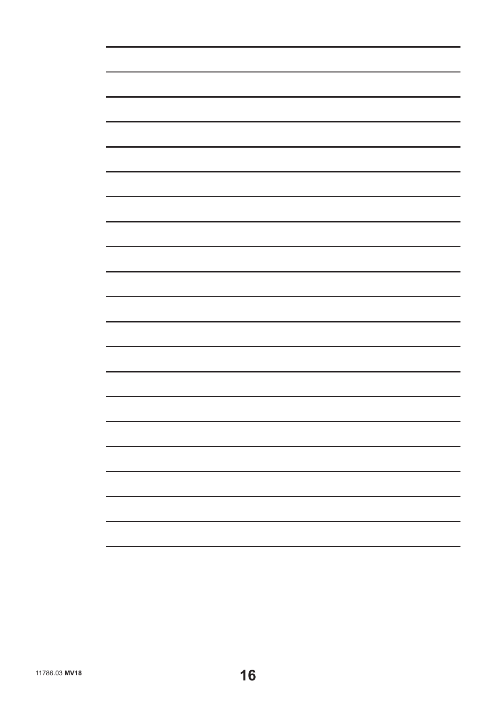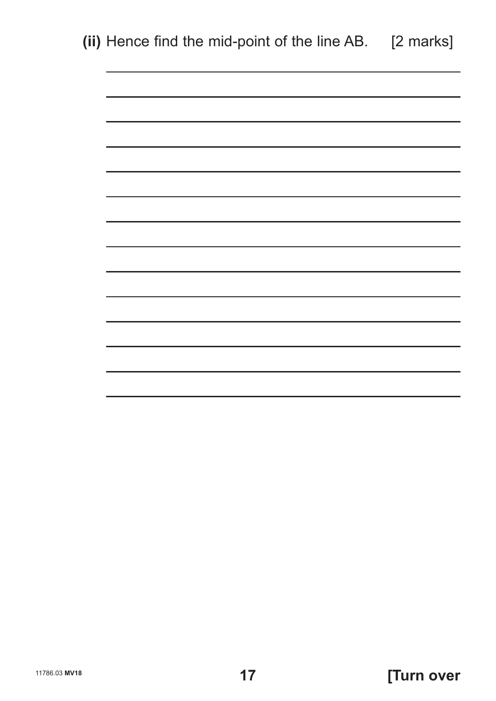| (ii) Hence find the mid-point of the line AB. [2 marks] |  |
|---------------------------------------------------------|--|
|                                                         |  |
|                                                         |  |
|                                                         |  |
|                                                         |  |
|                                                         |  |
|                                                         |  |
|                                                         |  |
|                                                         |  |
|                                                         |  |
|                                                         |  |
|                                                         |  |
|                                                         |  |
|                                                         |  |
|                                                         |  |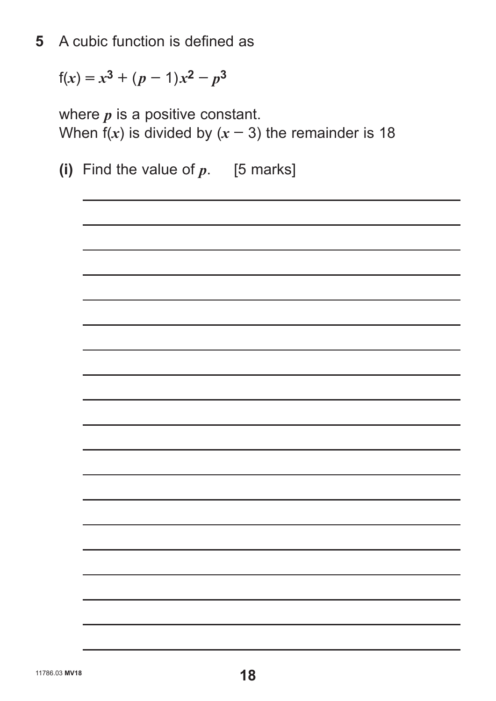**5** A cubic function is defined as

 $f(x) = x^3 + (p-1)x^2 - p^3$ 

where *p* is a positive constant. When  $f(x)$  is divided by  $(x - 3)$  the remainder is 18

 **(i)** Find the value of *p*. [5 marks]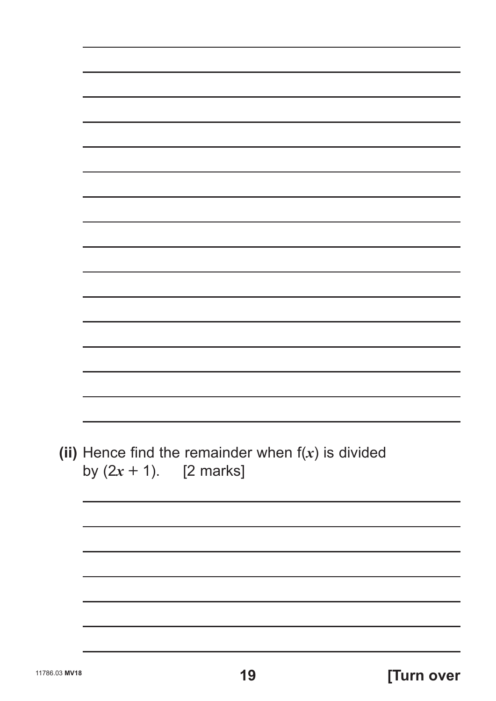| (ii) Hence find the remainder when $f(x)$ is divided<br>by $(2x + 1)$ . [2 marks] |
|-----------------------------------------------------------------------------------|
|                                                                                   |
|                                                                                   |
|                                                                                   |
|                                                                                   |
|                                                                                   |
|                                                                                   |
|                                                                                   |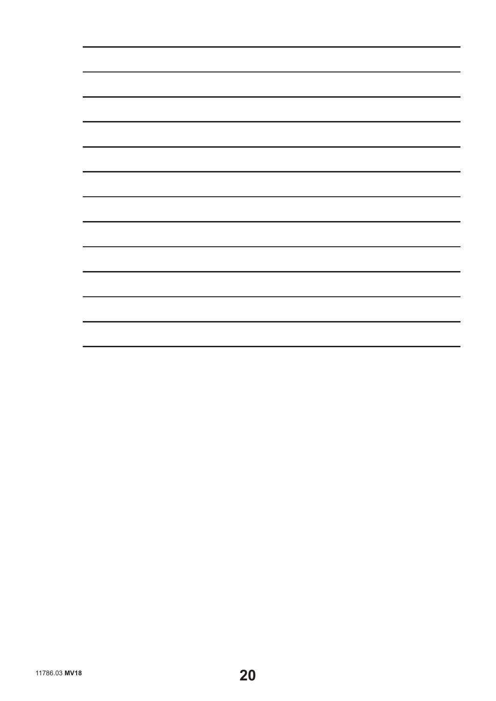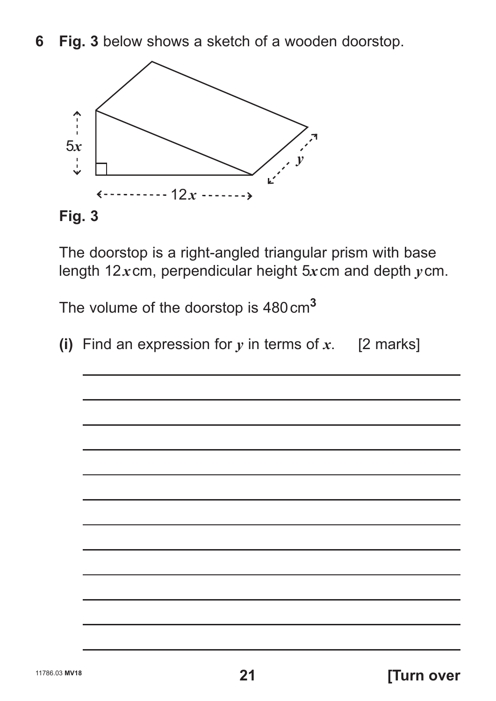

 The doorstop is a right-angled triangular prism with base length 12 *x* cm, perpendicular height 5*x* cm and depth *y* cm.

The volume of the doorstop is 480 cm**<sup>3</sup>**

 **(i)** Find an expression for *y* in terms of *x*. [2 marks]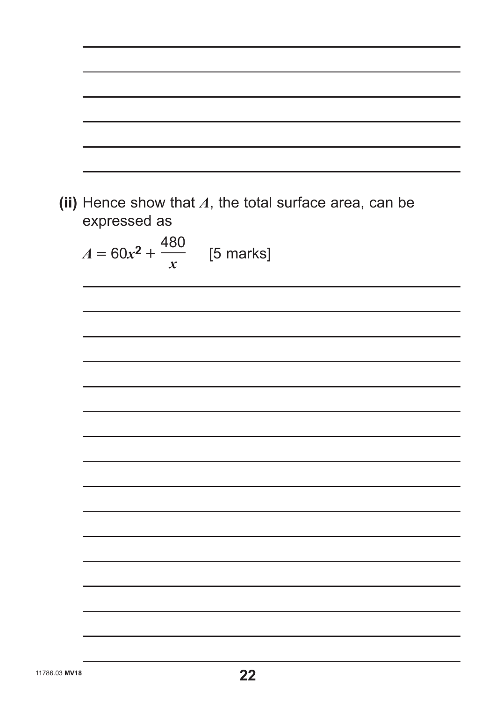(ii) Hence show that *A*, the total surface area, can be expressed as

\n
$$
A = 60x^2 + \frac{480}{x} \quad \text{[5 marks]}
$$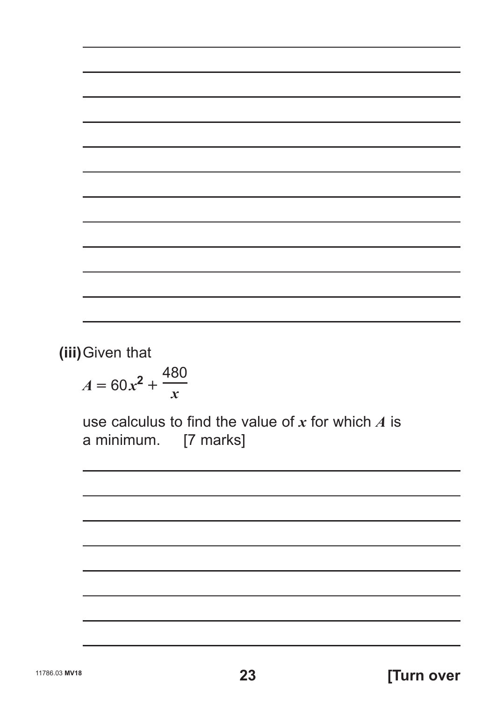**(iii)** Given that

$$
A = 60x^2 + \frac{480}{x}
$$

 use calculus to find the value of *x* for which *A* is a minimum. [7 marks]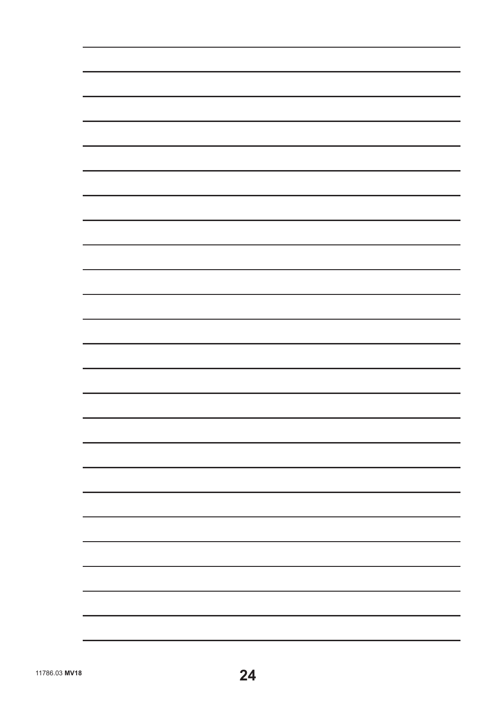| ۰ |  |  |  |
|---|--|--|--|
|   |  |  |  |
|   |  |  |  |
|   |  |  |  |
|   |  |  |  |
|   |  |  |  |
|   |  |  |  |
|   |  |  |  |
|   |  |  |  |
|   |  |  |  |
|   |  |  |  |
|   |  |  |  |
|   |  |  |  |
|   |  |  |  |
|   |  |  |  |
|   |  |  |  |
|   |  |  |  |
|   |  |  |  |
|   |  |  |  |
|   |  |  |  |
|   |  |  |  |
|   |  |  |  |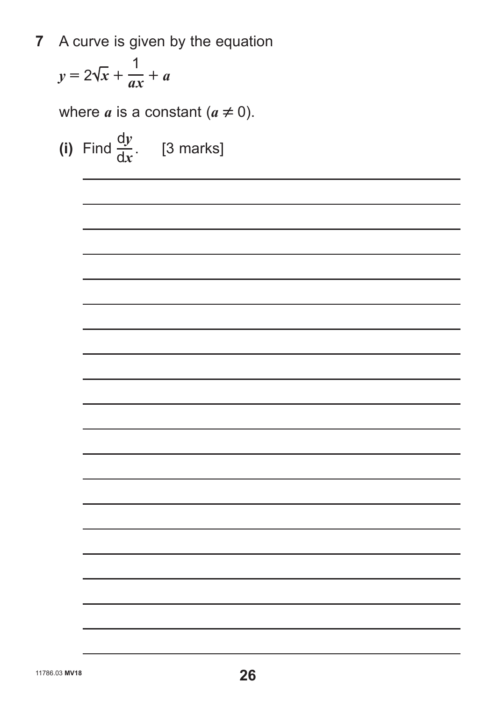**7** A curve is given by the equation

$$
y = 2\sqrt{x} + \frac{1}{ax} + a
$$

where *a* is a constant  $(a \neq 0)$ .

**(i)** Find  $\frac{dy}{dx}$  $\overline{dx}$ . [3 marks]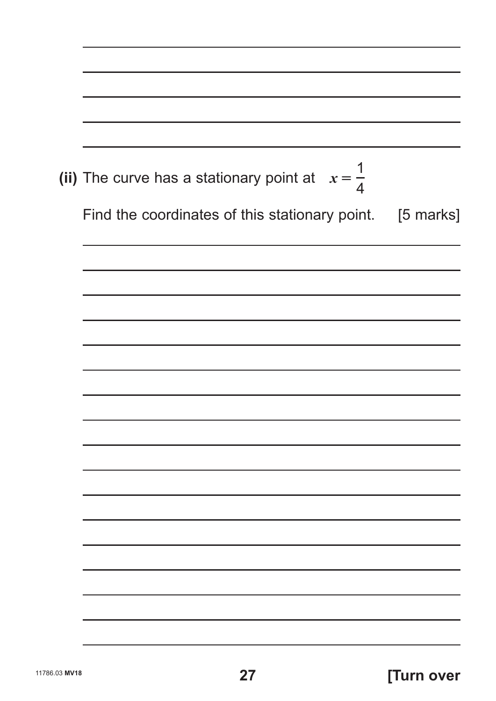|  | (ii) The curve has a stationary point at $x = \frac{1}{4}$ |  |  |
|--|------------------------------------------------------------|--|--|
|  | Find the coordinates of this stationary point. [5 marks]   |  |  |
|  |                                                            |  |  |
|  |                                                            |  |  |
|  |                                                            |  |  |
|  |                                                            |  |  |
|  |                                                            |  |  |
|  |                                                            |  |  |
|  |                                                            |  |  |
|  |                                                            |  |  |
|  |                                                            |  |  |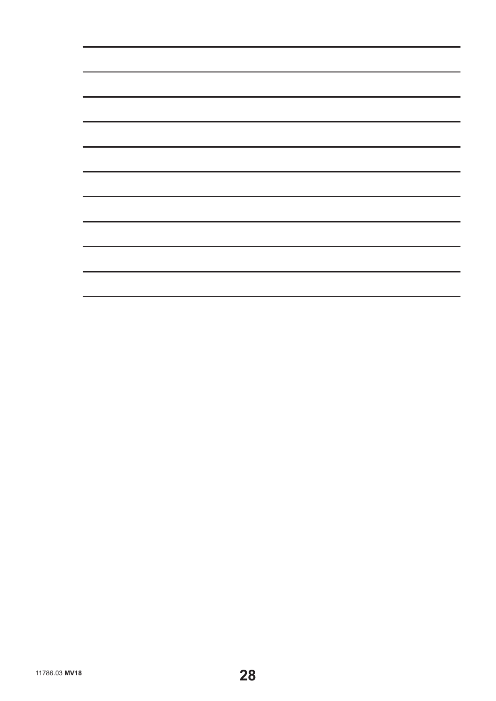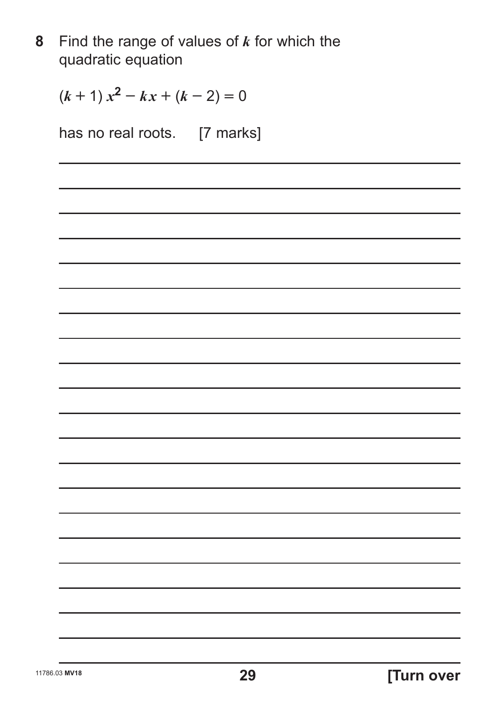**8** Find the range of values of *k* for which the quadratic equation

$$
(k + 1) x2 - kx + (k - 2) = 0
$$

has no real roots. [7 marks]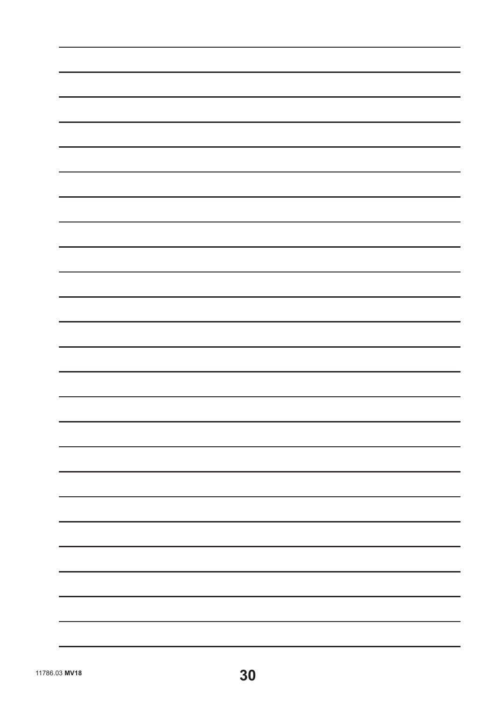| $\overline{\phantom{a}}$                   |  |
|--------------------------------------------|--|
|                                            |  |
|                                            |  |
|                                            |  |
|                                            |  |
|                                            |  |
|                                            |  |
|                                            |  |
| <b>Contract Contract Contract Contract</b> |  |
|                                            |  |
|                                            |  |
|                                            |  |
| ۰                                          |  |
|                                            |  |
|                                            |  |
|                                            |  |
| <b>Contract Contract Contract Contract</b> |  |
|                                            |  |
|                                            |  |
|                                            |  |
| ۰                                          |  |
|                                            |  |
|                                            |  |
|                                            |  |
| <b>Contract Contract Contract Contract</b> |  |
|                                            |  |
|                                            |  |
| ٠                                          |  |
|                                            |  |
|                                            |  |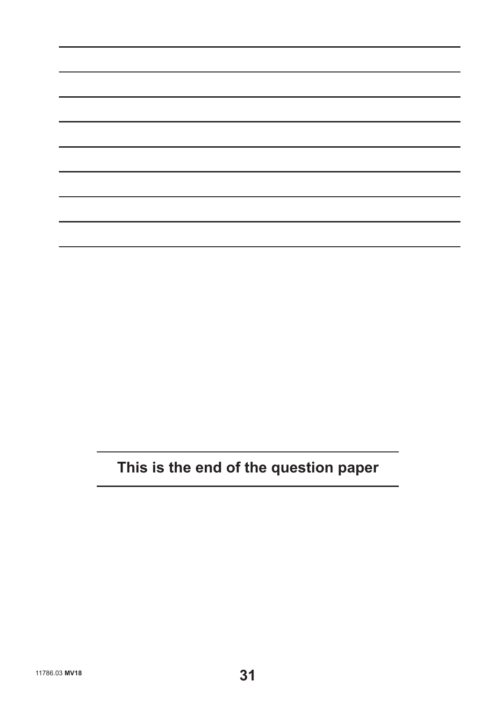## **This is the end of the question paper**